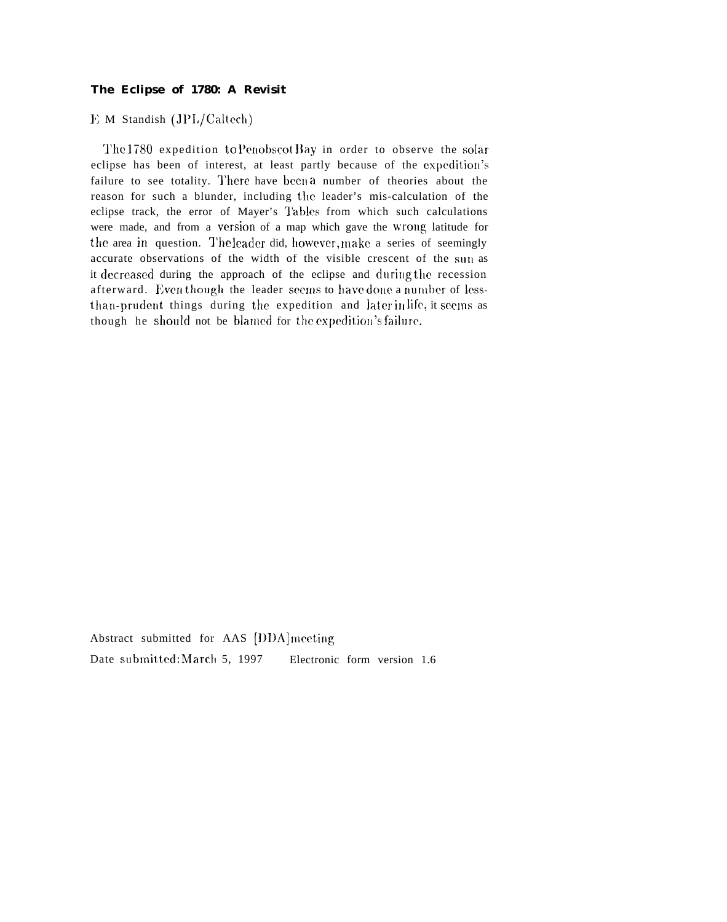## **The Eclipse of 1780: A Revisit**

 $E$  M Standish (JPL/Caltech)

The 1780 expedition to Penobscot Bay in order to observe the solar eclipse has been of interest, at least partly because of the expedition's failure to see totality. There have been a number of theories about the reason for such a blunder, including the leader's mis-calculation of the eclipse track, the error of Mayer's Tables from which such calculations were made, and from a version of a map which gave the Wrong latitude for the area in question. The leader did, however, make a series of seemingly accurate observations of the width of the visible crescent of the sun as it decreased during the approach of the eclipse and during the recession afterward. Even though the leader seems to have done a number of lessthan-prudent things during the expedition and later in life, it seems as though he should not be blamed for the expedition's failure.

Abstract submitted for AAS [DDA] meeting Date submitted: March 5, 1997 Electronic form version 1.6